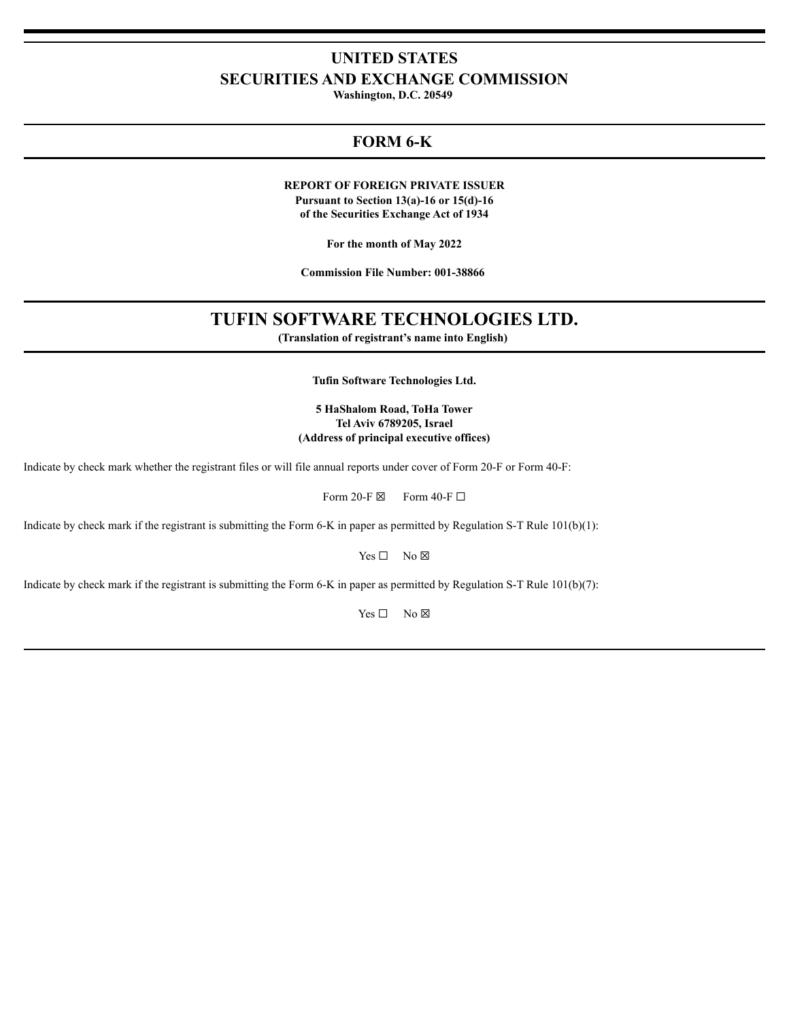# **UNITED STATES SECURITIES AND EXCHANGE COMMISSION**

**Washington, D.C. 20549**

# **FORM 6-K**

**REPORT OF FOREIGN PRIVATE ISSUER**

**Pursuant to Section 13(a)-16 or 15(d)-16 of the Securities Exchange Act of 1934**

**For the month of May 2022**

**Commission File Number: 001-38866**

# **TUFIN SOFTWARE TECHNOLOGIES LTD.**

**(Translation of registrant's name into English)**

**Tufin Software Technologies Ltd.**

## **5 HaShalom Road, ToHa Tower Tel Aviv 6789205, Israel (Address of principal executive offices)**

Indicate by check mark whether the registrant files or will file annual reports under cover of Form 20-F or Form 40-F:

Form 20-F  $\boxtimes$  Form 40-F  $\Box$ 

Indicate by check mark if the registrant is submitting the Form 6-K in paper as permitted by Regulation S-T Rule 101(b)(1):

Yes □ No ⊠

Indicate by check mark if the registrant is submitting the Form 6-K in paper as permitted by Regulation S-T Rule 101(b)(7):

Yes □ No ⊠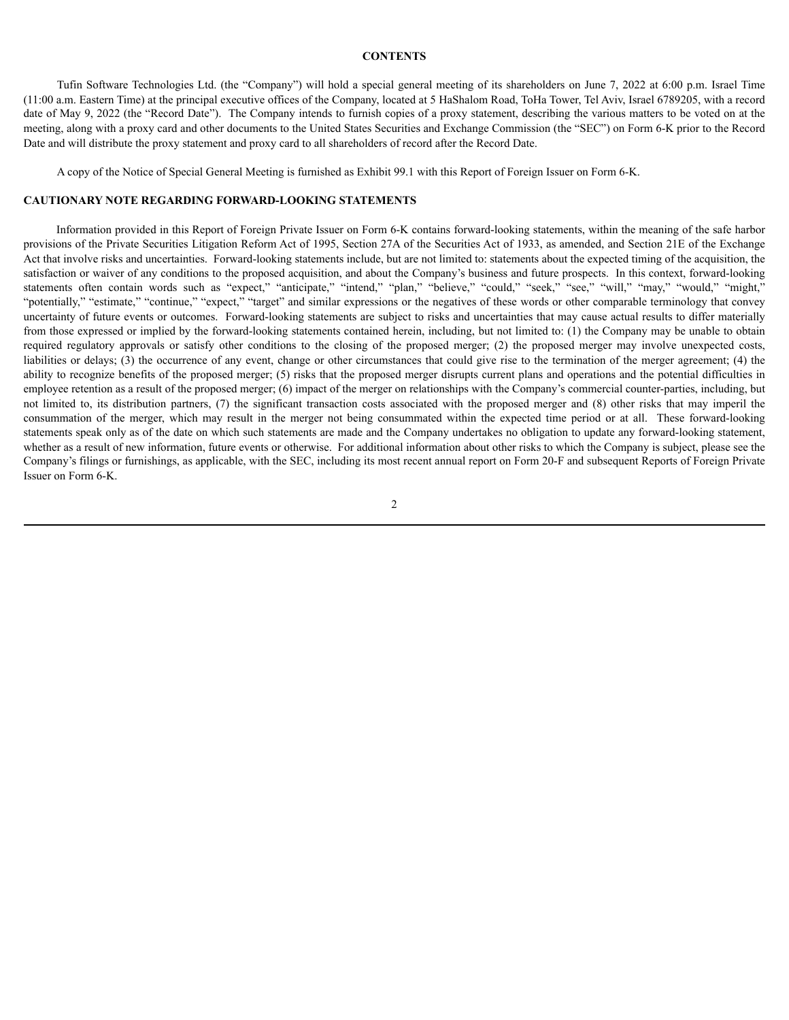#### **CONTENTS**

Tufin Software Technologies Ltd. (the "Company") will hold a special general meeting of its shareholders on June 7, 2022 at 6:00 p.m. Israel Time (11:00 a.m. Eastern Time) at the principal executive offices of the Company, located at 5 HaShalom Road, ToHa Tower, Tel Aviv, Israel 6789205, with a record date of May 9, 2022 (the "Record Date"). The Company intends to furnish copies of a proxy statement, describing the various matters to be voted on at the meeting, along with a proxy card and other documents to the United States Securities and Exchange Commission (the "SEC") on Form 6-K prior to the Record Date and will distribute the proxy statement and proxy card to all shareholders of record after the Record Date.

A copy of the Notice of Special General Meeting is furnished as Exhibit 99.1 with this Report of Foreign Issuer on Form 6-K.

### **CAUTIONARY NOTE REGARDING FORWARD-LOOKING STATEMENTS**

Information provided in this Report of Foreign Private Issuer on Form 6-K contains forward-looking statements, within the meaning of the safe harbor provisions of the Private Securities Litigation Reform Act of 1995, Section 27A of the Securities Act of 1933, as amended, and Section 21E of the Exchange Act that involve risks and uncertainties. Forward-looking statements include, but are not limited to: statements about the expected timing of the acquisition, the satisfaction or waiver of any conditions to the proposed acquisition, and about the Company's business and future prospects. In this context, forward-looking statements often contain words such as "expect," "anticipate," "intend," "plan," "believe," "could," "seek," "see," "will," "may," "would," "might," "potentially," "estimate," "continue," "expect," "target" and similar expressions or the negatives of these words or other comparable terminology that convey uncertainty of future events or outcomes. Forward-looking statements are subject to risks and uncertainties that may cause actual results to differ materially from those expressed or implied by the forward-looking statements contained herein, including, but not limited to: (1) the Company may be unable to obtain required regulatory approvals or satisfy other conditions to the closing of the proposed merger; (2) the proposed merger may involve unexpected costs, liabilities or delays; (3) the occurrence of any event, change or other circumstances that could give rise to the termination of the merger agreement; (4) the ability to recognize benefits of the proposed merger; (5) risks that the proposed merger disrupts current plans and operations and the potential difficulties in employee retention as a result of the proposed merger; (6) impact of the merger on relationships with the Company's commercial counter-parties, including, but not limited to, its distribution partners, (7) the significant transaction costs associated with the proposed merger and (8) other risks that may imperil the consummation of the merger, which may result in the merger not being consummated within the expected time period or at all. These forward-looking statements speak only as of the date on which such statements are made and the Company undertakes no obligation to update any forward-looking statement, whether as a result of new information, future events or otherwise. For additional information about other risks to which the Company is subject, please see the Company's filings or furnishings, as applicable, with the SEC, including its most recent annual report on Form 20-F and subsequent Reports of Foreign Private Issuer on Form 6-K.

2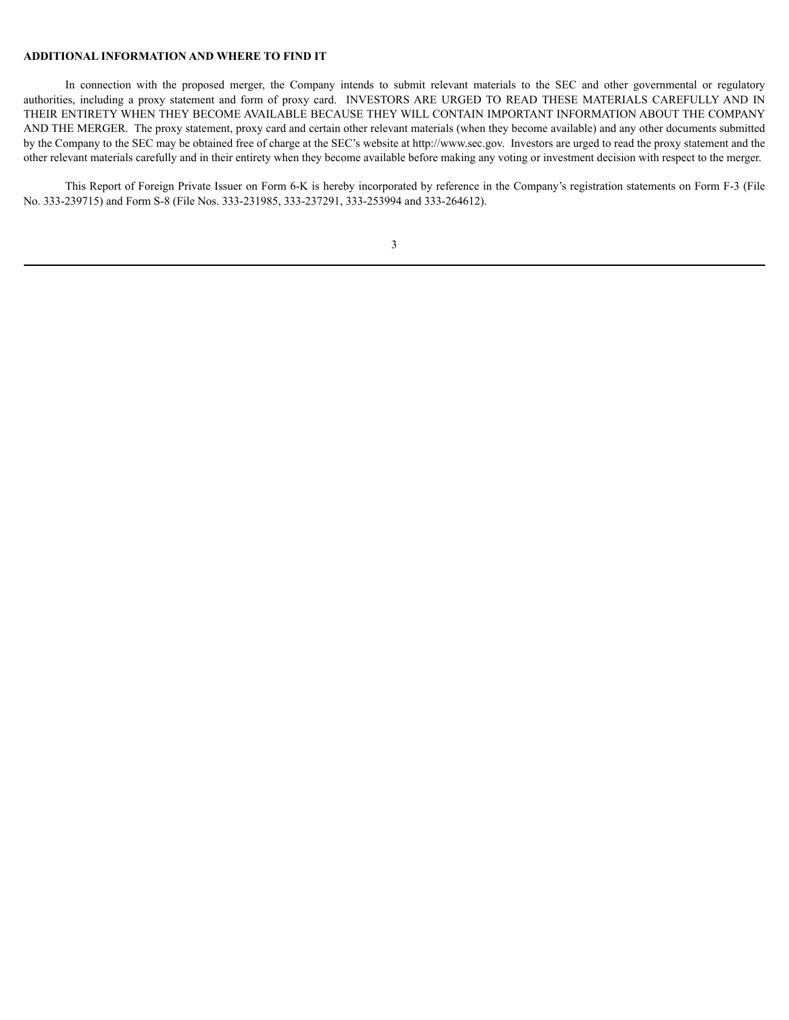### **ADDITIONAL INFORMATION AND WHERE TO FIND IT**

In connection with the proposed merger, the Company intends to submit relevant materials to the SEC and other governmental or regulatory authorities, including a proxy statement and form of proxy card. INVESTORS ARE URGED TO READ THESE MATERIALS CAREFULLY AND IN THEIR ENTIRETY WHEN THEY BECOME AVAILABLE BECAUSE THEY WILL CONTAIN IMPORTANT INFORMATION ABOUT THE COMPANY AND THE MERGER. The proxy statement, proxy card and certain other relevant materials (when they become available) and any other documents submitted by the Company to the SEC may be obtained free of charge at the SEC's website at http://www.sec.gov. Investors are urged to read the proxy statement and the other relevant materials carefully and in their entirety when they become available before making any voting or investment decision with respect to the merger.

This Report of Foreign Private Issuer on Form 6-K is hereby incorporated by reference in the Company's registration statements on Form F-3 (File No. 333-239715) and Form S-8 (File Nos. 333-231985, 333-237291, 333-253994 and 333-264612).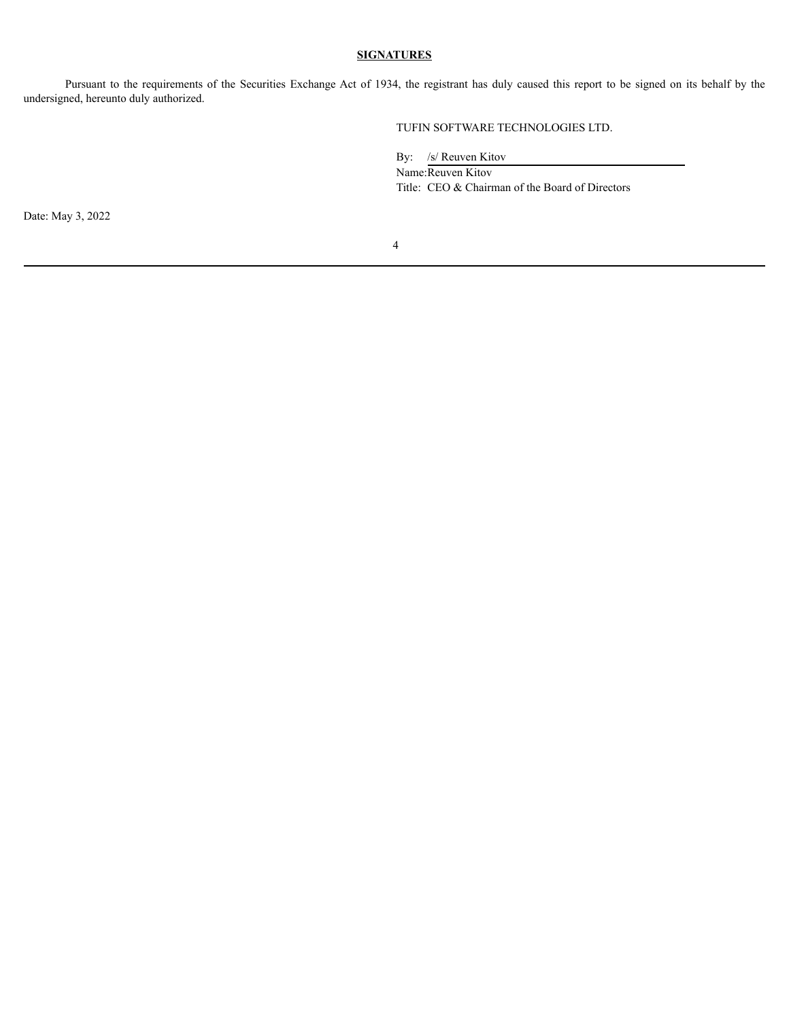# **SIGNATURES**

Pursuant to the requirements of the Securities Exchange Act of 1934, the registrant has duly caused this report to be signed on its behalf by the undersigned, hereunto duly authorized.

TUFIN SOFTWARE TECHNOLOGIES LTD.

By: /s/ Reuven Kitov

Name:Reuven Kitov Title: CEO & Chairman of the Board of Directors

Date: May 3, 2022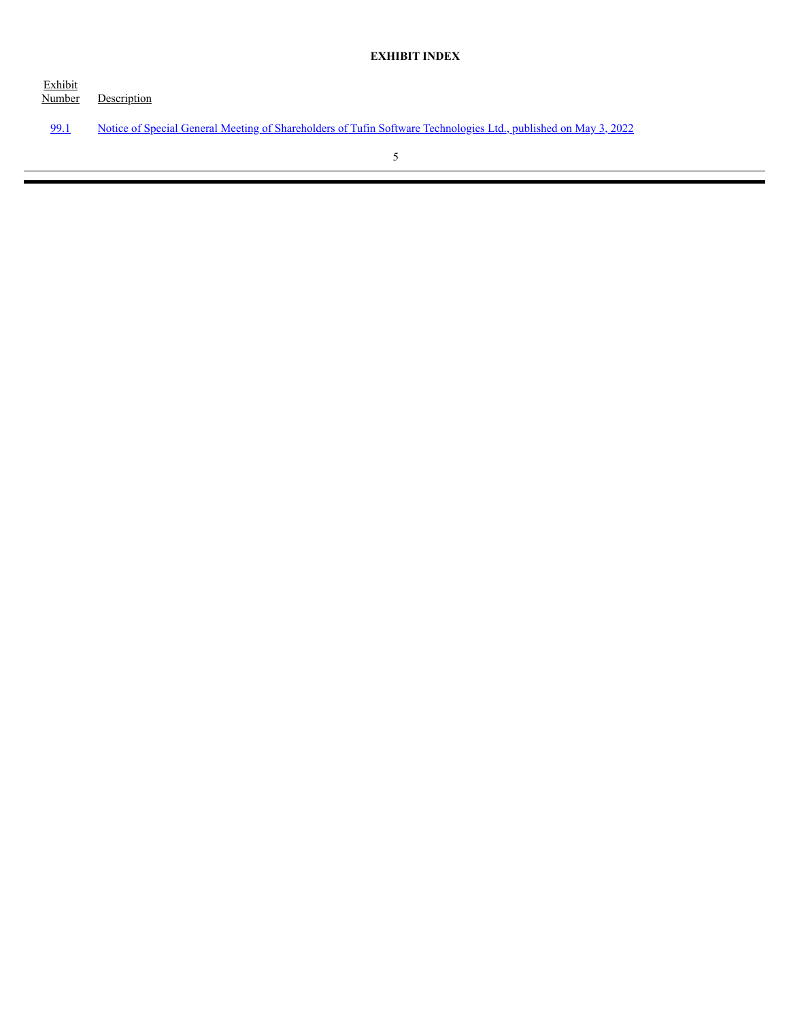Exhibit Description [99.1](#page-5-0) Notice of Special General Meeting of Shareholders of Tufin Software [Technologies](#page-5-0) Ltd., published on May 3, 2022 5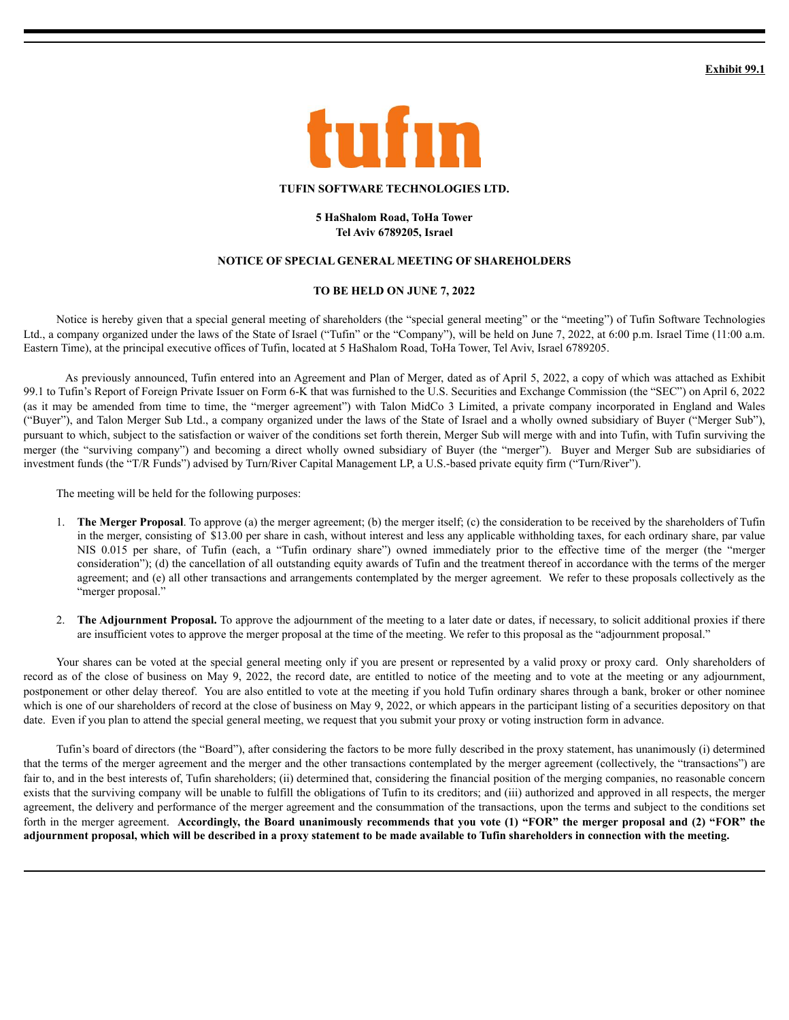**Exhibit 99.1**

<span id="page-5-0"></span>

### **TUFIN SOFTWARE TECHNOLOGIES LTD.**

### **5 HaShalom Road, ToHa Tower Tel Aviv 6789205, Israel**

### **NOTICE OF SPECIAL GENERAL MEETING OF SHAREHOLDERS**

## **TO BE HELD ON JUNE 7, 2022**

Notice is hereby given that a special general meeting of shareholders (the "special general meeting" or the "meeting") of Tufin Software Technologies Ltd., a company organized under the laws of the State of Israel ("Tufin" or the "Company"), will be held on June 7, 2022, at 6:00 p.m. Israel Time (11:00 a.m. Eastern Time), at the principal executive offices of Tufin, located at 5 HaShalom Road, ToHa Tower, Tel Aviv, Israel 6789205.

As previously announced, Tufin entered into an Agreement and Plan of Merger, dated as of April 5, 2022, a copy of which was attached as Exhibit 99.1 to Tufin's Report of Foreign Private Issuer on Form 6-K that was furnished to the U.S. Securities and Exchange Commission (the "SEC") on April 6, 2022 (as it may be amended from time to time, the "merger agreement") with Talon MidCo 3 Limited, a private company incorporated in England and Wales ("Buyer"), and Talon Merger Sub Ltd., a company organized under the laws of the State of Israel and a wholly owned subsidiary of Buyer ("Merger Sub"), pursuant to which, subject to the satisfaction or waiver of the conditions set forth therein, Merger Sub will merge with and into Tufin, with Tufin surviving the merger (the "surviving company") and becoming a direct wholly owned subsidiary of Buyer (the "merger"). Buyer and Merger Sub are subsidiaries of investment funds (the "T/R Funds") advised by Turn/River Capital Management LP, a U.S.-based private equity firm ("Turn/River").

The meeting will be held for the following purposes:

- 1. **The Merger Proposal**. To approve (a) the merger agreement; (b) the merger itself; (c) the consideration to be received by the shareholders of Tufin in the merger, consisting of \$13.00 per share in cash, without interest and less any applicable withholding taxes, for each ordinary share, par value NIS 0.015 per share, of Tufin (each, a "Tufin ordinary share") owned immediately prior to the effective time of the merger (the "merger consideration"); (d) the cancellation of all outstanding equity awards of Tufin and the treatment thereof in accordance with the terms of the merger agreement; and (e) all other transactions and arrangements contemplated by the merger agreement. We refer to these proposals collectively as the "merger proposal."
- 2. **The Adjournment Proposal.** To approve the adjournment of the meeting to a later date or dates, if necessary, to solicit additional proxies if there are insufficient votes to approve the merger proposal at the time of the meeting. We refer to this proposal as the "adjournment proposal."

Your shares can be voted at the special general meeting only if you are present or represented by a valid proxy or proxy card. Only shareholders of record as of the close of business on May 9, 2022, the record date, are entitled to notice of the meeting and to vote at the meeting or any adjournment, postponement or other delay thereof. You are also entitled to vote at the meeting if you hold Tufin ordinary shares through a bank, broker or other nominee which is one of our shareholders of record at the close of business on May 9, 2022, or which appears in the participant listing of a securities depository on that date. Even if you plan to attend the special general meeting, we request that you submit your proxy or voting instruction form in advance.

Tufin's board of directors (the "Board"), after considering the factors to be more fully described in the proxy statement, has unanimously (i) determined that the terms of the merger agreement and the merger and the other transactions contemplated by the merger agreement (collectively, the "transactions") are fair to, and in the best interests of, Tufin shareholders; (ii) determined that, considering the financial position of the merging companies, no reasonable concern exists that the surviving company will be unable to fulfill the obligations of Tufin to its creditors; and (iii) authorized and approved in all respects, the merger agreement, the delivery and performance of the merger agreement and the consummation of the transactions, upon the terms and subject to the conditions set forth in the merger agreement. Accordingly, the Board unanimously recommends that you vote (1) "FOR" the merger proposal and (2) "FOR" the adjournment proposal, which will be described in a proxy statement to be made available to Tufin shareholders in connection with the meeting.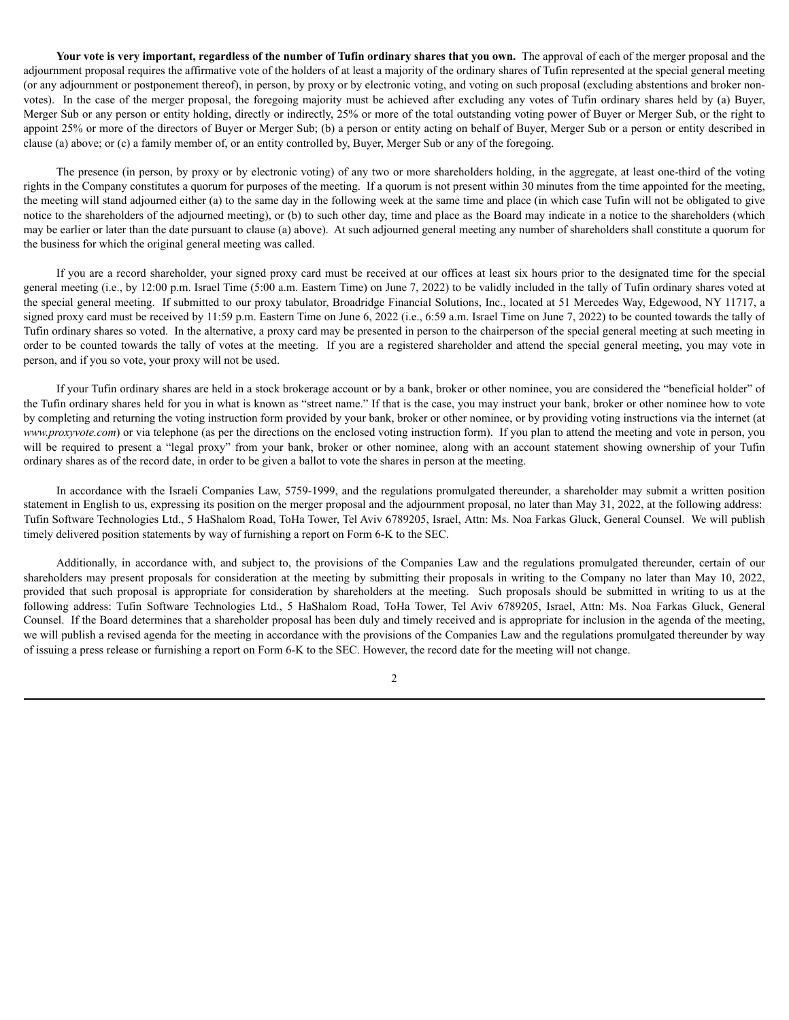Your vote is very important, regardless of the number of Tufin ordinary shares that you own. The approval of each of the merger proposal and the adjournment proposal requires the affirmative vote of the holders of at least a majority of the ordinary shares of Tufin represented at the special general meeting (or any adjournment or postponement thereof), in person, by proxy or by electronic voting, and voting on such proposal (excluding abstentions and broker nonvotes). In the case of the merger proposal, the foregoing majority must be achieved after excluding any votes of Tufin ordinary shares held by (a) Buyer, Merger Sub or any person or entity holding, directly or indirectly, 25% or more of the total outstanding voting power of Buyer or Merger Sub, or the right to appoint 25% or more of the directors of Buyer or Merger Sub; (b) a person or entity acting on behalf of Buyer, Merger Sub or a person or entity described in clause (a) above; or (c) a family member of, or an entity controlled by, Buyer, Merger Sub or any of the foregoing.

The presence (in person, by proxy or by electronic voting) of any two or more shareholders holding, in the aggregate, at least one-third of the voting rights in the Company constitutes a quorum for purposes of the meeting. If a quorum is not present within 30 minutes from the time appointed for the meeting, the meeting will stand adjourned either (a) to the same day in the following week at the same time and place (in which case Tufin will not be obligated to give notice to the shareholders of the adjourned meeting), or (b) to such other day, time and place as the Board may indicate in a notice to the shareholders (which may be earlier or later than the date pursuant to clause (a) above). At such adjourned general meeting any number of shareholders shall constitute a quorum for the business for which the original general meeting was called.

If you are a record shareholder, your signed proxy card must be received at our offices at least six hours prior to the designated time for the special general meeting (i.e., by 12:00 p.m. Israel Time (5:00 a.m. Eastern Time) on June 7, 2022) to be validly included in the tally of Tufin ordinary shares voted at the special general meeting. If submitted to our proxy tabulator, Broadridge Financial Solutions, Inc., located at 51 Mercedes Way, Edgewood, NY 11717, a signed proxy card must be received by 11:59 p.m. Eastern Time on June 6, 2022 (i.e., 6:59 a.m. Israel Time on June 7, 2022) to be counted towards the tally of Tufin ordinary shares so voted. In the alternative, a proxy card may be presented in person to the chairperson of the special general meeting at such meeting in order to be counted towards the tally of votes at the meeting. If you are a registered shareholder and attend the special general meeting, you may vote in person, and if you so vote, your proxy will not be used.

If your Tufin ordinary shares are held in a stock brokerage account or by a bank, broker or other nominee, you are considered the "beneficial holder" of the Tufin ordinary shares held for you in what is known as "street name." If that is the case, you may instruct your bank, broker or other nominee how to vote by completing and returning the voting instruction form provided by your bank, broker or other nominee, or by providing voting instructions via the internet (at *www.proxyvote.com*) or via telephone (as per the directions on the enclosed voting instruction form). If you plan to attend the meeting and vote in person, you will be required to present a "legal proxy" from your bank, broker or other nominee, along with an account statement showing ownership of your Tufin ordinary shares as of the record date, in order to be given a ballot to vote the shares in person at the meeting.

In accordance with the Israeli Companies Law, 5759-1999, and the regulations promulgated thereunder, a shareholder may submit a written position statement in English to us, expressing its position on the merger proposal and the adjournment proposal, no later than May 31, 2022, at the following address: Tufin Software Technologies Ltd., 5 HaShalom Road, ToHa Tower, Tel Aviv 6789205, Israel, Attn: Ms. Noa Farkas Gluck, General Counsel. We will publish timely delivered position statements by way of furnishing a report on Form 6-K to the SEC.

Additionally, in accordance with, and subject to, the provisions of the Companies Law and the regulations promulgated thereunder, certain of our shareholders may present proposals for consideration at the meeting by submitting their proposals in writing to the Company no later than May 10, 2022, provided that such proposal is appropriate for consideration by shareholders at the meeting. Such proposals should be submitted in writing to us at the following address: Tufin Software Technologies Ltd., 5 HaShalom Road, ToHa Tower, Tel Aviv 6789205, Israel, Attn: Ms. Noa Farkas Gluck, General Counsel. If the Board determines that a shareholder proposal has been duly and timely received and is appropriate for inclusion in the agenda of the meeting, we will publish a revised agenda for the meeting in accordance with the provisions of the Companies Law and the regulations promulgated thereunder by way of issuing a press release or furnishing a report on Form 6-K to the SEC. However, the record date for the meeting will not change.

2